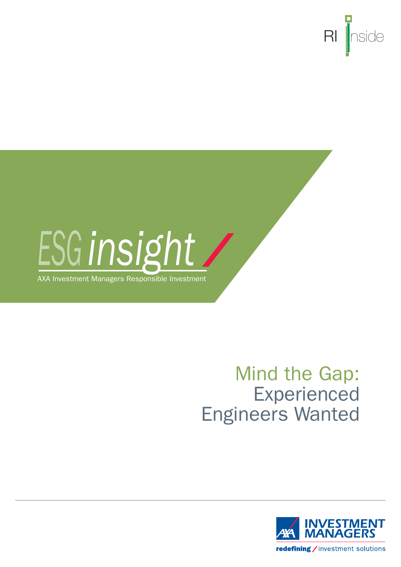



AXA Investment Managers Responsible Investment

# Mind the Gap: Experienced Engineers Wanted

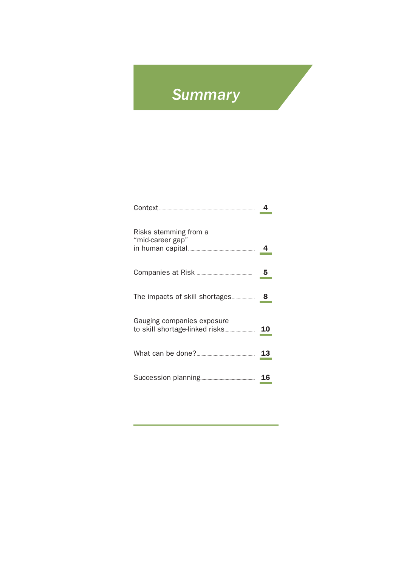## **Summary**

| Risks stemming from a<br>"mid-career gap" |    |
|-------------------------------------------|----|
|                                           | 5  |
| The impacts of skill shortages            | 8  |
| Gauging companies exposure                |    |
|                                           |    |
|                                           | 16 |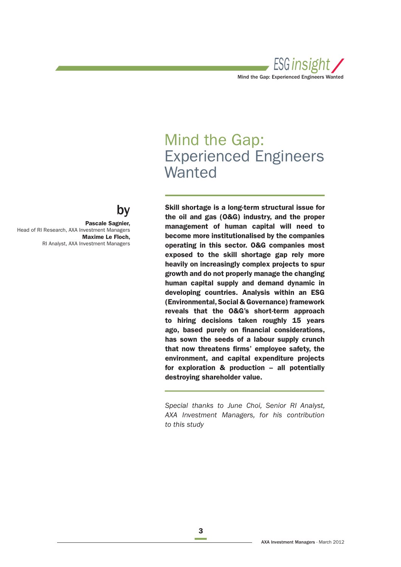

## Mind the Gap: Experienced Engineers **Wanted**

by **Skill shortage is a long-term structural issue for the oil and gas (O&G) industry, and the proper management of human capital will need to become more institutionalised by the companies operating in this sector. O&G companies most exposed to the skill shortage gap rely more heavily on increasingly complex projects to spur growth and do not properly manage the changing human capital supply and demand dynamic in developing countries. Analysis within an ESG (Environmental, Social & Governance) framework reveals that the O&G's short-term approach to hiring decisions taken roughly 15 years**  ago, based purely on financial considerations, **has sown the seeds of a labour supply crunch**  that now threatens firms' employee safety, the **environment, and capital expenditure projects for exploration & production – all potentially destroying shareholder value.**

> Special thanks to June Choi, Senior RI Analyst, AXA Investment Managers, for his contribution to this study



**Pascale Sagnier,**  Head of RI Research, AXA Investment Managers **Maxime Le Floch,**  RI Analyst, AXA Investment Managers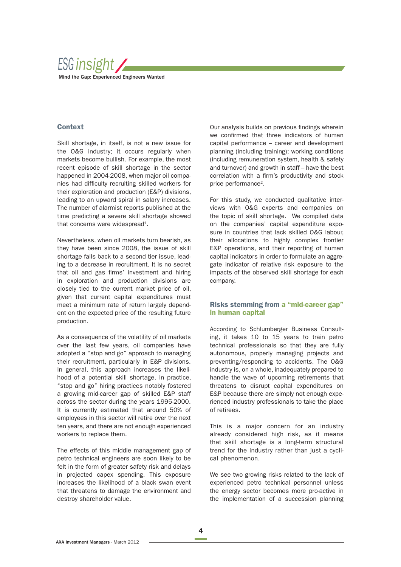

## **Context**

Skill shortage, in itself, is not a new issue for the O&G industry; it occurs regularly when markets become bullish. For example, the most recent episode of skill shortage in the sector happened in 2004-2008, when major oil companies had difficulty recruiting skilled workers for their exploration and production (E&P) divisions, leading to an upward spiral in salary increases. The number of alarmist reports published at the time predicting a severe skill shortage showed that concerns were widespread<sup>1</sup>.

Nevertheless, when oil markets turn bearish, as they have been since 2008, the issue of skill shortage falls back to a second tier issue, leading to a decrease in recruitment. It is no secret that oil and gas firms' investment and hiring in exploration and production divisions are closely tied to the current market price of oil, given that current capital expenditures must meet a minimum rate of return largely dependent on the expected price of the resulting future production.

As a consequence of the volatility of oil markets over the last few years, oil companies have adopted a "stop and go" approach to managing their recruitment, particularly in E&P divisions. In general, this approach increases the likelihood of a potential skill shortage. In practice, "stop and go" hiring practices notably fostered a growing mid-career gap of skilled E&P staff across the sector during the years 1995-2000. It is currently estimated that around 50% of employees in this sector will retire over the next ten years, and there are not enough experienced workers to replace them.

The effects of this middle management gap of petro technical engineers are soon likely to be felt in the form of greater safety risk and delays in projected capex spending. This exposure increases the likelihood of a black swan event that threatens to damage the environment and destroy shareholder value.

Our analysis builds on previous findings wherein we confirmed that three indicators of human capital performance – career and development planning (including training); working conditions (including remuneration system, health & safety and turnover) and growth in staff – have the best correlation with a firm's productivity and stock price performance<sup>2</sup>.

For this study, we conducted qualitative interviews with O&G experts and companies on the topic of skill shortage. We compiled data on the companies' capital expenditure exposure in countries that lack skilled O&G labour, their allocations to highly complex frontier E&P operations, and their reporting of human capital indicators in order to formulate an aggregate indicator of relative risk exposure to the impacts of the observed skill shortage for each company.

## **Risks stemming from a "mid-career gap" in human capital**

According to Schlumberger Business Consulting, it takes 10 to 15 years to train petro technical professionals so that they are fully autonomous, properly managing projects and preventing/responding to accidents. The O&G industry is, on a whole, inadequately prepared to handle the wave of upcoming retirements that threatens to disrupt capital expenditures on E&P because there are simply not enough experienced industry professionals to take the place of retirees.

This is a major concern for an industry already considered high risk, as it means that skill shortage is a long-term structural trend for the industry rather than just a cyclical phenomenon.

We see two growing risks related to the lack of experienced petro technical personnel unless the energy sector becomes more pro-active in the implementation of a succession planning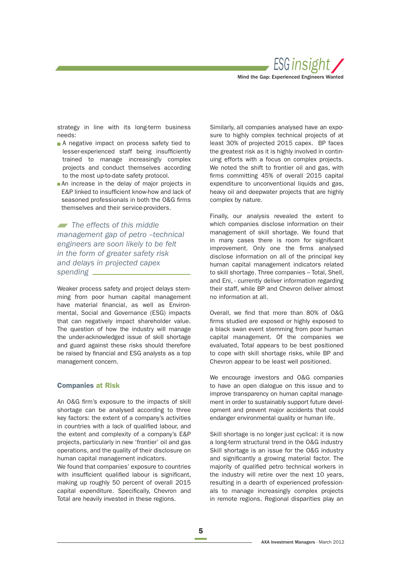

strategy in line with its long-term business needs:

- A negative impact on process safety tied to lesser-experienced staff being insufficiently trained to manage increasingly complex projects and conduct themselves according to the most up-to-date safety protocol.
- An increase in the delay of major projects in E&P linked to insufficient know-how and lack of seasoned professionals in both the O&G firms themselves and their service-providers.

The effects of this middle management gap of petro –technical engineers are soon likely to be felt in the form of greater safety risk and delays in projected capex spending \_

Weaker process safety and project delays stemming from poor human capital management have material financial, as well as Environmental, Social and Governance (ESG) impacts that can negatively impact shareholder value. The question of how the industry will manage the under-acknowledged issue of skill shortage and guard against these risks should therefore be raised by financial and ESG analysts as a top management concern.

#### **Companies at Risk**

An O&G firm's exposure to the impacts of skill shortage can be analysed according to three key factors: the extent of a company's activities in countries with a lack of qualified labour, and the extent and complexity of a company's E&P projects, particularly in new 'frontier' oil and gas operations, and the quality of their disclosure on human capital management indicators.

We found that companies' exposure to countries with insufficient qualified labour is significant. making up roughly 50 percent of overall 2015 capital expenditure. Specifically, Chevron and Total are heavily invested in these regions.

Similarly, all companies analysed have an exposure to highly complex technical projects of at least 30% of projected 2015 capex. BP faces the greatest risk as it is highly involved in continuing efforts with a focus on complex projects. We noted the shift to frontier oil and gas, with firms committing 45% of overall 2015 capital expenditure to unconventional liquids and gas. heavy oil and deepwater projects that are highly complex by nature.

Finally, our analysis revealed the extent to which companies disclose information on their management of skill shortage. We found that in many cases there is room for significant improvement. Only one the firms analysed disclose information on all of the principal key human capital management indicators related to skill shortage. Three companies – Total, Shell, and Eni, - currently deliver information regarding their staff, while BP and Chevron deliver almost no information at all.

Overall, we find that more than 80% of O&G firms studied are exposed or highly exposed to a black swan event stemming from poor human capital management. Of the companies we evaluated, Total appears to be best positioned to cope with skill shortage risks, while BP and Chevron appear to be least well positioned.

We encourage investors and O&G companies to have an open dialogue on this issue and to improve transparency on human capital management in order to sustainably support future development and prevent major accidents that could endanger environmental quality or human life.

Skill shortage is no longer just cyclical: it is now a long-term structural trend in the O&G industry Skill shortage is an issue for the O&G industry and significantly a growing material factor. The majority of qualified petro technical workers in the industry will retire over the next 10 years, resulting in a dearth of experienced professionals to manage increasingly complex projects in remote regions. Regional disparities play an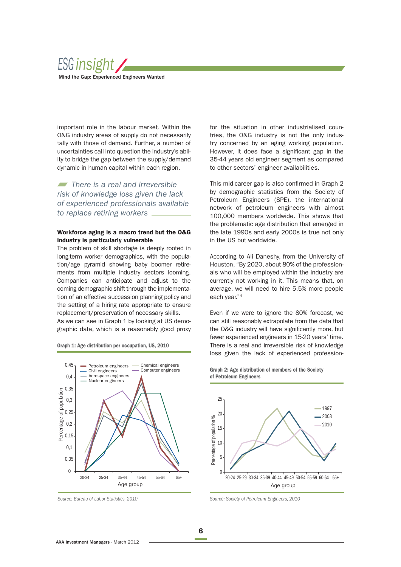

important role in the labour market. Within the O&G industry areas of supply do not necessarily tally with those of demand. Further, a number of uncertainties call into question the industry's ability to bridge the gap between the supply/demand dynamic in human capital within each region.

There is a real and irreversible risk of knowledge loss given the lack of experienced professionals available to replace retiring workers \_

## **Workforce aging is a macro trend but the O&G industry is particularly vulnerable**

The problem of skill shortage is deeply rooted in long-term worker demographics, with the population/age pyramid showing baby boomer retirements from multiple industry sectors looming. Companies can anticipate and adjust to the coming demographic shift through the implementation of an effective succession planning policy and the setting of a hiring rate appropriate to ensure replacement/preservation of necessary skills.

As we can see in Graph 1 by looking at US demographic data, which is a reasonably good proxy



**Graph 1: Age distribution per occupation, US, 2010**

for the situation in other industrialised countries, the O&G industry is not the only industry concerned by an aging working population. However, it does face a significant gap in the 35-44 years old engineer segment as compared to other sectors' engineer availabilities.

This mid-career gap is also confirmed in Graph 2 by demographic statistics from the Society of Petroleum Engineers (SPE), the international network of petroleum engineers with almost 100,000 members worldwide. This shows that the problematic age distribution that emerged in the late 1990s and early 2000s is true not only in the US but worldwide.

According to Ali Daneshy, from the University of Houston, "By 2020, about 80% of the professionals who will be employed within the industry are currently not working in it. This means that, on average, we will need to hire 5.5% more people each year."4

Even if we were to ignore the 80% forecast, we can still reasonably extrapolate from the data that the O&G industry will have significantly more, but fewer experienced engineers in 15-20 years' time. There is a real and irreversible risk of knowledge loss given the lack of experienced profession-



**Graph 2: Age distribution of members of the Society of Petroleum Engineers**

Source: Bureau of Labor Statistics, 2010 Source: Society of Petroleum Engineers, 2010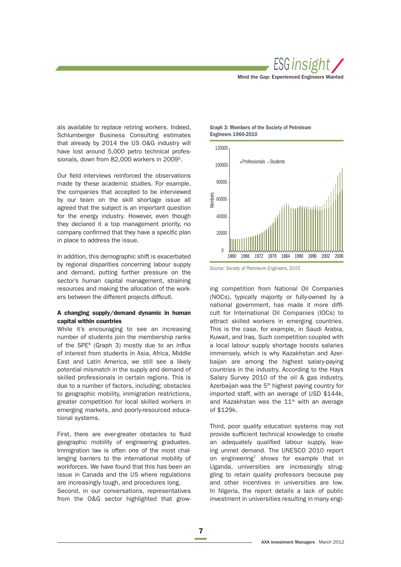

als available to replace retiring workers. Indeed, Schlumberger Business Consulting estimates that already by 2014 the US O&G industry will have lost around 5,000 petro technical professionals, down from 82,000 workers in 20095.

Our field interviews reinforced the observations made by these academic studies. For example, the companies that accepted to be interviewed by our team on the skill shortage issue all agreed that the subject is an important question for the energy industry. However, even though they declared it a top management priority, no company confirmed that they have a specific plan in place to address the issue.

In addition, this demographic shift is exacerbated by regional disparities concerning labour supply and demand, putting further pressure on the sector's human capital management, straining resources and making the allocation of the workers between the different projects difficult.

## **A changing supply/demand dynamic in human capital within countries**

While it's encouraging to see an increasing number of students join the membership ranks of the SPE $<sup>6</sup>$  (Graph 3) mostly due to an influx</sup> of interest from students in Asia, Africa, Middle East and Latin America, we still see a likely potential mismatch in the supply and demand of skilled professionals in certain regions. This is due to a number of factors, including; obstacles to geographic mobility, immigration restrictions, greater competition for local skilled workers in emerging markets, and poorly-resourced educational systems.

First, there are ever-greater obstacles to fluid geographic mobility of engineering graduates. Immigration law is often one of the most challenging barriers to the international mobility of workforces. We have found that this has been an issue in Canada and the US where regulations are increasingly tough, and procedures long. Second, in our conversations, representatives from the O&G sector highlighted that grow-

**Graph 3: Members of the Society of Petroleum Engineers 1960-2010**



Source: Society of Petroleum Engineers, 2010

ing competition from National Oil Companies (NOCs), typically majority or fully-owned by a national government, has made it more difficult for International Oil Companies (IOCs) to attract skilled workers in emerging countries. This is the case, for example, in Saudi Arabia, Kuwait, and Iraq. Such competition coupled with a local labour supply shortage boosts salaries immensely, which is why Kazakhstan and Azerbaijan are among the highest salary-paying countries in the industry. According to the Hays Salary Survey 2010 of the oil & gas industry, Azerbaijan was the 5<sup>th</sup> highest paying country for imported staff, with an average of USD \$144k, and Kazakhstan was the  $11<sup>th</sup>$  with an average of \$129k.

Third, poor quality education systems may not provide sufficient technical knowledge to create an adequately qualified labour supply, leaving unmet demand. The UNESCO 2010 report on engineering<sup>7</sup> shows for example that in Uganda, universities are increasingly struggling to retain quality professors because pay and other incentives in universities are low. In Nigeria, the report details a lack of public investment in universities resulting in many engi-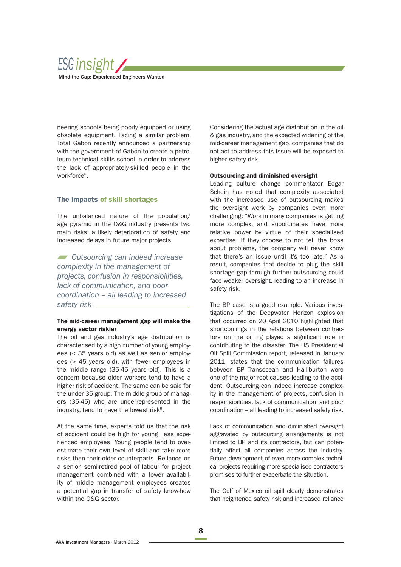

neering schools being poorly equipped or using obsolete equipment. Facing a similar problem, Total Gabon recently announced a partnership with the government of Gabon to create a petroleum technical skills school in order to address the lack of appropriately-skilled people in the workforce<sup>8</sup>.

## **The impacts of skill shortages**

The unbalanced nature of the population/ age pyramid in the O&G industry presents two main risks: a likely deterioration of safety and increased delays in future major projects.

**Outsourcing can indeed increase** complexity in the management of projects, confusion in responsibilities, lack of communication, and poor coordination – all leading to increased safety risk

## **The mid-career management gap will make the energy sector riskier**

The oil and gas industry's age distribution is characterised by a high number of young employees (< 35 years old) as well as senior employees (> 45 years old), with fewer employees in the middle range (35-45 years old). This is a concern because older workers tend to have a higher risk of accident. The same can be said for the under 35 group. The middle group of managers (35-45) who are underrepresented in the industry, tend to have the lowest risk $9$ .

At the same time, experts told us that the risk of accident could be high for young, less experienced employees. Young people tend to overestimate their own level of skill and take more risks than their older counterparts. Reliance on a senior, semi-retired pool of labour for project management combined with a lower availability of middle management employees creates a potential gap in transfer of safety know-how within the O&G sector.

Considering the actual age distribution in the oil & gas industry, and the expected widening of the mid-career management gap, companies that do not act to address this issue will be exposed to higher safety risk.

#### **Outsourcing and diminished oversight**

Leading culture change commentator Edgar Schein has noted that complexity associated with the increased use of outsourcing makes the oversight work by companies even more challenging: "Work in many companies is getting more complex, and subordinates have more relative power by virtue of their specialised expertise. If they choose to not tell the boss about problems, the company will never know that there's an issue until it's too late." As a result, companies that decide to plug the skill shortage gap through further outsourcing could face weaker oversight, leading to an increase in safety risk.

The BP case is a good example. Various investigations of the Deepwater Horizon explosion that occurred on 20 April 2010 highlighted that shortcomings in the relations between contractors on the oil rig played a significant role in contributing to the disaster. The US Presidential Oil Spill Commission report, released in January 2011, states that the communication failures between BP, Transocean and Halliburton were one of the major root causes leading to the accident. Outsourcing can indeed increase complexity in the management of projects, confusion in responsibilities, lack of communication, and poor coordination – all leading to increased safety risk.

Lack of communication and diminished oversight aggravated by outsourcing arrangements is not limited to BP and its contractors, but can potentially affect all companies across the industry. Future development of even more complex technical projects requiring more specialised contractors promises to further exacerbate the situation.

The Gulf of Mexico oil spill clearly demonstrates that heightened safety risk and increased reliance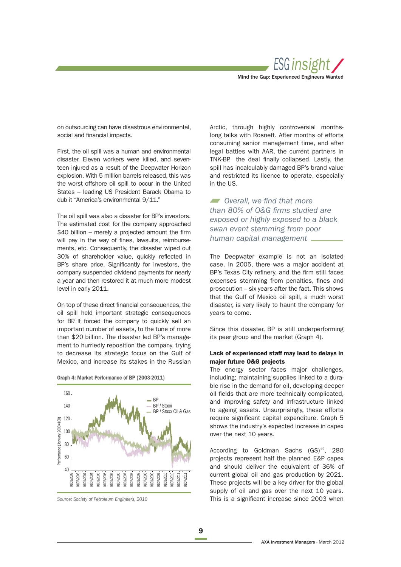

on outsourcing can have disastrous environmental, social and financial impacts.

First, the oil spill was a human and environmental disaster. Eleven workers were killed, and seventeen injured as a result of the Deepwater Horizon explosion. With 5 million barrels released, this was the worst offshore oil spill to occur in the United States – leading US President Barack Obama to dub it "America's environmental 9/11."

The oil spill was also a disaster for BP's investors. The estimated cost for the company approached  $$40$  billion – merely a projected amount the firm will pay in the way of fines, lawsuits, reimbursements, etc. Consequently, the disaster wiped out 30% of shareholder value, quickly reflected in BP's share price. Significantly for investors, the company suspended dividend payments for nearly a year and then restored it at much more modest level in early 2011.

On top of these direct financial consequences, the oil spill held important strategic consequences for BP. It forced the company to quickly sell an important number of assets, to the tune of more than \$20 billion. The disaster led BP's management to hurriedly reposition the company, trying to decrease its strategic focus on the Gulf of Mexico, and increase its stakes in the Russian





Source: Society of Petroleum Engineers, 2010

Arctic, through highly controversial monthslong talks with Rosneft. After months of efforts consuming senior management time, and after legal battles with AAR, the current partners in TNK-BP, the deal finally collapsed. Lastly, the spill has incalculably damaged BP's brand value and restricted its licence to operate, especially in the US.

 $\blacksquare$  Overall, we find that more than 80% of O&G firms studied are exposed or highly exposed to a black swan event stemming from poor human capital management

The Deepwater example is not an isolated case. In 2005, there was a major accident at BP's Texas City refinery, and the firm still faces expenses stemming from penalties, fines and prosecution – six years after the fact. This shows that the Gulf of Mexico oil spill, a much worst disaster, is very likely to haunt the company for years to come.

Since this disaster, BP is still underperforming its peer group and the market (Graph 4).

## **Lack of experienced staff may lead to delays in major future O&G projects**

The energy sector faces major challenges, including; maintaining supplies linked to a durable rise in the demand for oil, developing deeper oil fields that are more technically complicated, and improving safety and infrastructure linked to ageing assets. Unsurprisingly, these efforts require significant capital expenditure. Graph 5 shows the industry's expected increase in capex over the next 10 years.

According to Goldman Sachs  $(GS)^{12}$ , 280 projects represent half the planned E&P capex and should deliver the equivalent of 36% of current global oil and gas production by 2021. These projects will be a key driver for the global supply of oil and gas over the next 10 years. This is a significant increase since 2003 when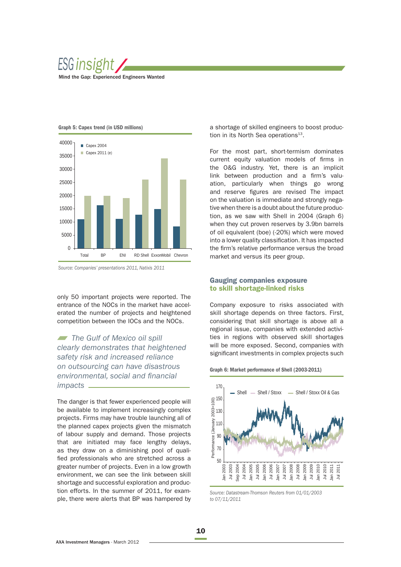





Source: Companies' presentations 2011, Natixis 2011

only 50 important projects were reported. The entrance of the NOCs in the market have accelerated the number of projects and heightened competition between the IOCs and the NOCs.

The Gulf of Mexico oil spill clearly demonstrates that heightened safety risk and increased reliance on outsourcing can have disastrous environmental, social and financial impacts

The danger is that fewer experienced people will be available to implement increasingly complex projects. Firms may have trouble launching all of the planned capex projects given the mismatch of labour supply and demand. Those projects that are initiated may face lengthy delays, as they draw on a diminishing pool of qualified professionals who are stretched across a greater number of projects. Even in a low growth environment, we can see the link between skill shortage and successful exploration and production efforts. In the summer of 2011, for example, there were alerts that BP was hampered by a shortage of skilled engineers to boost production in its North Sea operations<sup>13</sup>.

For the most part, short-termism dominates current equity valuation models of firms in the O&G industry. Yet, there is an implicit link between production and a firm's valuation, particularly when things go wrong and reserve figures are revised The impact on the valuation is immediate and strongly negative when there is a doubt about the future production, as we saw with Shell in 2004 (Graph 6) when they cut proven reserves by 3.9bn barrels of oil equivalent (boe) (-20%) which were moved into a lower quality classification. It has impacted the firm's relative performance versus the broad market and versus its peer group.

## **Gauging companies exposure to skill shortage-linked risks**

Company exposure to risks associated with skill shortage depends on three factors. First, considering that skill shortage is above all a regional issue, companies with extended activities in regions with observed skill shortages will be more exposed. Second, companies with significant investments in complex projects such





Source: Datastream-Thomson Reuters from 01/01/2003 to 07/11/2011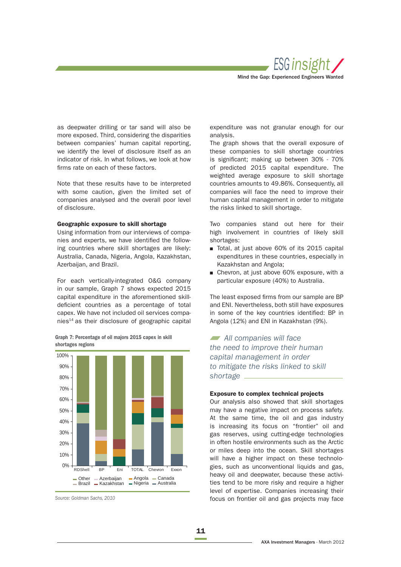

as deepwater drilling or tar sand will also be more exposed. Third, considering the disparities between companies' human capital reporting, we identify the level of disclosure itself as an indicator of risk. In what follows, we look at how firms rate on each of these factors.

Note that these results have to be interpreted with some caution, given the limited set of companies analysed and the overall poor level of disclosure.

#### **Geographic exposure to skill shortage**

Using information from our interviews of companies and experts, we have identified the following countries where skill shortages are likely: Australia, Canada, Nigeria, Angola, Kazakhstan, Azerbaijan, and Brazil.

For each vertically-integrated O&G company in our sample, Graph 7 shows expected 2015 capital expenditure in the aforementioned skilldeficient countries as a percentage of total capex. We have not included oil services companies14 as their disclosure of geographic capital

Other Azerbaijan **Brazil Kazakhstan** Angola Canada Nigeria Australia 0% 10% 20% 30% 40% 50% 60% 70% 80% 90% 100% RDShell BP Eni TOTAL Chevron Exxon

**Graph 7: Percentage of oil majors 2015 capex in skill shortages regions**

expenditure was not granular enough for our analysis.

The graph shows that the overall exposure of these companies to skill shortage countries is significant; making up between 30% - 70% of predicted 2015 capital expenditure. The weighted average exposure to skill shortage countries amounts to 49.86%. Consequently, all companies will face the need to improve their human capital management in order to mitigate the risks linked to skill shortage.

Two companies stand out here for their high involvement in countries of likely skill shortages:

- Total, at just above 60% of its 2015 capital expenditures in these countries, especially in Kazakhstan and Angola;
- Chevron, at just above 60% exposure, with a particular exposure (40%) to Australia.

The least exposed firms from our sample are BP and ENI. Nevertheless, both still have exposures in some of the key countries identified: BP in Angola (12%) and ENI in Kazakhstan (9%).

All companies will face the need to improve their human capital management in order to mitigate the risks linked to skill shortage \_

## **Exposure to complex technical projects**

Our analysis also showed that skill shortages may have a negative impact on process safety. At the same time, the oil and gas industry is increasing its focus on "frontier" oil and gas reserves, using cutting-edge technologies in often hostile environments such as the Arctic or miles deep into the ocean. Skill shortages will have a higher impact on these technologies, such as unconventional liquids and gas, heavy oil and deepwater, because these activities tend to be more risky and require a higher level of expertise. Companies increasing their focus on frontier oil and gas projects may face

Source: Goldman Sachs, 2010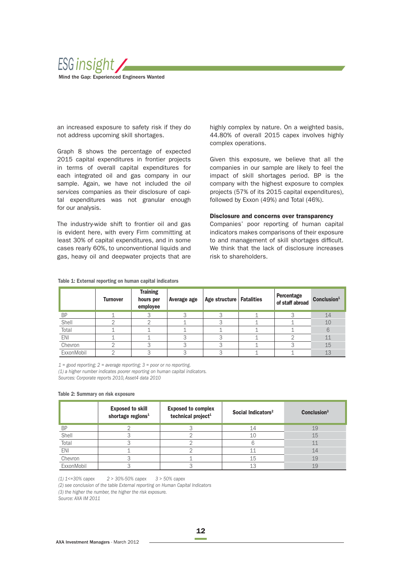

 an increased exposure to safety risk if they do not address upcoming skill shortages.

Graph 8 shows the percentage of expected 2015 capital expenditures in frontier projects in terms of overall capital expenditures for each integrated oil and gas company in our sample. Again, we have not included the oil services companies as their disclosure of capital expenditures was not granular enough for our analysis.

The industry-wide shift to frontier oil and gas is evident here, with every Firm committing at least 30% of capital expenditures, and in some cases rearly 60%, to unconventional liquids and gas, heavy oil and deepwater projects that are highly complex by nature. On a weighted basis, 44.80% of overall 2015 capex involves highly complex operations.

Given this exposure, we believe that all the companies in our sample are likely to feel the impact of skill shortages period. BP is the company with the highest exposure to complex projects (57% of its 2015 capital expenditures), followed by Exxon (49%) and Total (46%).

#### **Disclosure and concerns over transparency**

Companies' poor reporting of human capital indicators makes comparisons of their exposure to and management of skill shortages difficult. We think that the lack of disclosure increases risk to shareholders.

## **Table 1: External reporting on human capital indicators**

|            | <b>Turnover</b> | <b>Training</b><br>hours per<br>employee | Average age | Age structure   Fatalities | Percentage<br>of staff abroad | Conclusion <sup>1</sup> |
|------------|-----------------|------------------------------------------|-------------|----------------------------|-------------------------------|-------------------------|
| <b>BP</b>  |                 |                                          | っ           | Ο                          | ◠                             | 14                      |
| Shell      |                 |                                          |             |                            |                               | 10                      |
| Total      |                 |                                          |             |                            |                               | 6                       |
| <b>ENI</b> |                 |                                          |             |                            |                               | 11                      |
| Chevron    |                 |                                          |             |                            |                               | 15                      |
| ExxonMobil |                 |                                          |             |                            |                               | 13                      |

 $1 =$  good reporting;  $2 =$  average reporting;  $3 =$  poor or no reporting. (1) a higher number indicates poorer reporting on human capital indicators.

Sources: Corporate reports 2010, Asset4 data 2010

#### **Table 2: Summary on risk exposure**

|            | <b>Exposed to skill</b><br>shortage regions <sup>1</sup> | <b>Exposed to complex</b><br>technical project <sup>1</sup> | Social Indicators <sup>2</sup> | Conclusion <sup>3</sup> |
|------------|----------------------------------------------------------|-------------------------------------------------------------|--------------------------------|-------------------------|
| <b>BP</b>  |                                                          |                                                             | 14                             | 19                      |
| Shell      |                                                          |                                                             | 10                             | 15                      |
| Total      |                                                          |                                                             |                                | 11                      |
| <b>ENI</b> |                                                          |                                                             |                                | 14                      |
| Chevron    |                                                          |                                                             | 15                             | 19                      |
| ExxonMobil |                                                          |                                                             | 13                             | 19                      |

(1) 1<=30% capex 2 > 30%-50% capex 3 > 50% capex

(2) see conclusion of the table External reporting on Human Capital Indicators

(3) the higher the number, the higher the risk exposure.

Source: AXA IM 2011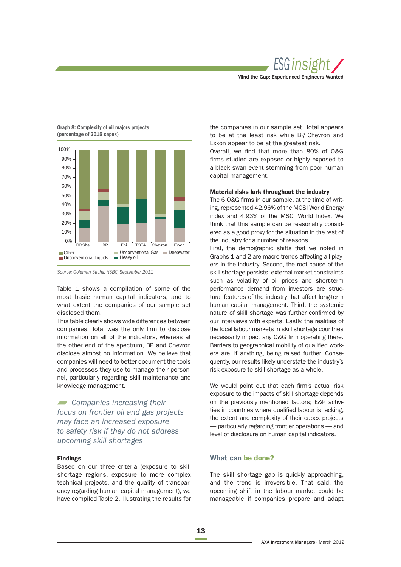



## **Graph 8: Complexity of oil majors projects (percentage of 2015 capex)**

Source: Goldman Sachs, HSBC, September 2011

Table 1 shows a compilation of some of the most basic human capital indicators, and to what extent the companies of our sample set disclosed them.

This table clearly shows wide differences between companies. Total was the only firm to disclose information on all of the indicators, whereas at the other end of the spectrum, BP and Chevron disclose almost no information. We believe that companies will need to better document the tools and processes they use to manage their personnel, particularly regarding skill maintenance and knowledge management.

**Companies increasing their** focus on frontier oil and gas projects may face an increased exposure to safety risk if they do not address upcoming skill shortages

## **Findings**

Based on our three criteria (exposure to skill shortage regions, exposure to more complex technical projects, and the quality of transparency regarding human capital management), we have compiled Table 2, illustrating the results for the companies in our sample set. Total appears to be at the least risk while BP, Chevron and Exxon appear to be at the greatest risk.

Overall, we find that more than 80% of O&G firms studied are exposed or highly exposed to a black swan event stemming from poor human capital management.

#### **Material risks lurk throughout the industry**

The 6 O&G firms in our sample, at the time of writing, represented 42.96% of the MCSI World Energy index and 4.93% of the MSCI World Index. We think that this sample can be reasonably considered as a good proxy for the situation in the rest of the industry for a number of reasons.

First, the demographic shifts that we noted in Graphs 1 and 2 are macro trends affecting all players in the industry. Second, the root cause of the skill shortage persists: external market constraints such as volatility of oil prices and short-term performance demand from investors are structural features of the industry that affect long-term human capital management. Third, the systemic nature of skill shortage was further confirmed by our interviews with experts. Lastly, the realities of the local labour markets in skill shortage countries necessarily impact any O&G firm operating there. Barriers to geographical mobility of qualified workers are, if anything, being raised further. Consequently, our results likely understate the industry's risk exposure to skill shortage as a whole.

We would point out that each firm's actual risk exposure to the impacts of skill shortage depends on the previously mentioned factors; E&P activities in countries where qualified labour is lacking. the extent and complexity of their capex projects — particularly regarding frontier operations — and level of disclosure on human capital indicators.

## **What can be done?**

The skill shortage gap is quickly approaching. and the trend is irreversible. That said, the upcoming shift in the labour market could be manageable if companies prepare and adapt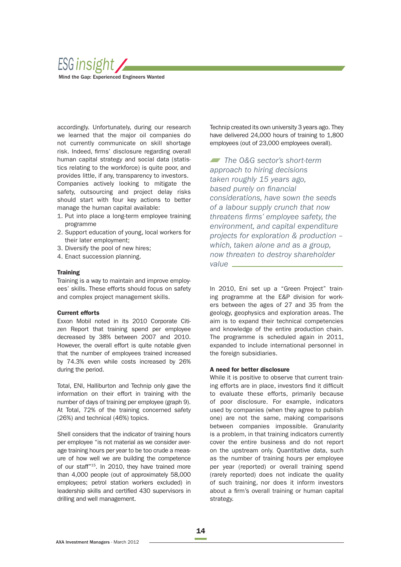

accordingly. Unfortunately, during our research we learned that the major oil companies do not currently communicate on skill shortage risk. Indeed, firms' disclosure regarding overall human capital strategy and social data (statistics relating to the workforce) is quite poor, and provides little, if any, transparency to investors. Companies actively looking to mitigate the safety, outsourcing and project delay risks should start with four key actions to better manage the human capital available:

- 1. Put into place a long-term employee training programme
- 2. Support education of young, local workers for their later employment;
- 3. Diversify the pool of new hires;
- 4. Enact succession planning.

#### **Training**

Training is a way to maintain and improve employees' skills. These efforts should focus on safety and complex project management skills.

#### **Current efforts**

Exxon Mobil noted in its 2010 Corporate Citizen Report that training spend per employee decreased by 38% between 2007 and 2010. However, the overall effort is quite notable given that the number of employees trained increased by 74.3% even while costs increased by 26% during the period.

Total, ENI, Halliburton and Technip only gave the information on their effort in training with the number of days of training per employee (graph 9). At Total, 72% of the training concerned safety (26%) and technical (46%) topics.

Shell considers that the indicator of training hours per employee "is not material as we consider average training hours per year to be too crude a measure of how well we are building the competence of our staff"<sup>15</sup>. In 2010, they have trained more than 4,000 people (out of approximately 58,000 employees; petrol station workers excluded) in leadership skills and certified 430 supervisors in drilling and well management.

Technip created its own university 3 years ago. They have delivered 24,000 hours of training to 1,800 employees (out of 23,000 employees overall).

The O&G sector's short-term approach to hiring decisions taken roughly 15 years ago, based purely on financial considerations, have sown the seeds of a labour supply crunch that now threatens firms' employee safety, the environment, and capital expenditure projects for exploration & production – which, taken alone and as a group, now threaten to destroy shareholder value \_

In 2010, Eni set up a "Green Project" training programme at the E&P division for workers between the ages of 27 and 35 from the geology, geophysics and exploration areas. The aim is to expand their technical competencies and knowledge of the entire production chain. The programme is scheduled again in 2011, expanded to include international personnel in the foreign subsidiaries.

#### **A need for better disclosure**

While it is positive to observe that current training efforts are in place, investors find it difficult to evaluate these efforts, primarily because of poor disclosure. For example, indicators used by companies (when they agree to publish one) are not the same, making comparisons between companies impossible. Granularity is a problem, in that training indicators currently cover the entire business and do not report on the upstream only. Quantitative data, such as the number of training hours per employee per year (reported) or overall training spend (rarely reported) does not indicate the quality of such training, nor does it inform investors about a firm's overall training or human capital strategy.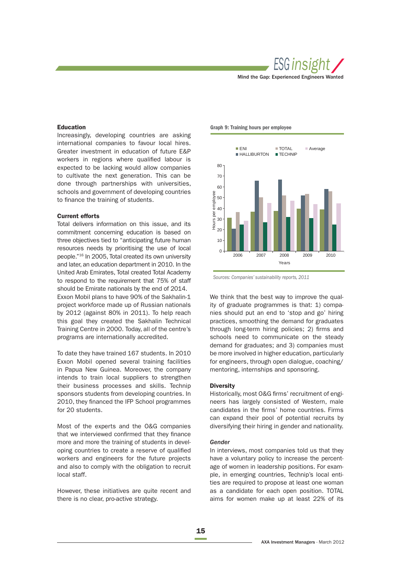

#### **Education**

Increasingly, developing countries are asking international companies to favour local hires. Greater investment in education of future E&P workers in regions where qualified labour is expected to be lacking would allow companies to cultivate the next generation. This can be done through partnerships with universities, schools and government of developing countries to finance the training of students.

#### **Current efforts**

Total delivers information on this issue, and its commitment concerning education is based on three objectives tied to "anticipating future human resources needs by prioritising the use of local people."16 In 2005, Total created its own university and later, an education department in 2010. In the United Arab Emirates, Total created Total Academy to respond to the requirement that 75% of staff should be Emirate nationals by the end of 2014. Exxon Mobil plans to have 90% of the Sakhalin-1

project workforce made up of Russian nationals by 2012 (against 80% in 2011). To help reach this goal they created the Sakhalin Technical Training Centre in 2000. Today, all of the centre's programs are internationally accredited.

To date they have trained 167 students. In 2010 Exxon Mobil opened several training facilities in Papua New Guinea. Moreover, the company intends to train local suppliers to strengthen their business processes and skills. Technip sponsors students from developing countries. In 2010, they financed the IFP School programmes for 20 students.

Most of the experts and the O&G companies that we interviewed confirmed that they finance more and more the training of students in developing countries to create a reserve of qualified workers and engineers for the future projects and also to comply with the obligation to recruit local staff.

However, these initiatives are quite recent and there is no clear, pro-active strategy.

**Graph 9: Training hours per employee**



Sources: Companies' sustainability reports, 2011

We think that the best way to improve the quality of graduate programmes is that: 1) companies should put an end to 'stop and go' hiring practices, smoothing the demand for graduates through long-term hiring policies; 2) firms and schools need to communicate on the steady demand for graduates; and 3) companies must be more involved in higher education, particularly for engineers, through open dialogue, coaching/ mentoring, internships and sponsoring.

#### **Diversity**

Historically, most O&G firms' recruitment of engineers has largely consisted of Western, male candidates in the firms' home countries. Firms can expand their pool of potential recruits by diversifying their hiring in gender and nationality.

#### Gender

In interviews, most companies told us that they have a voluntary policy to increase the percentage of women in leadership positions. For example, in emerging countries, Technip's local entities are required to propose at least one woman as a candidate for each open position. TOTAL aims for women make up at least 22% of its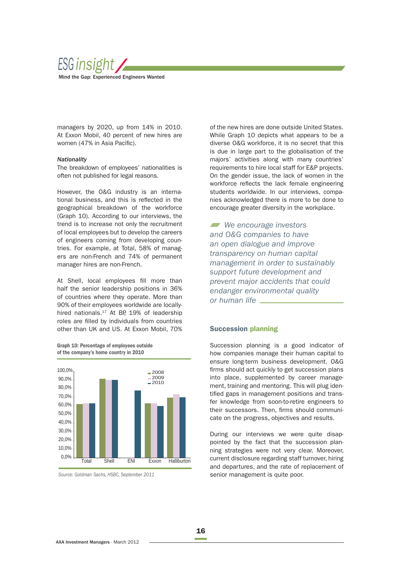

managers by 2020, up from 14% in 2010. At Exxon Mobil, 40 percent of new hires are women (47% in Asia Pacific).

## Nationality

The breakdown of employees' nationalities is often not published for legal reasons.

However, the O&G industry is an international business, and this is reflected in the geographical breakdown of the workforce (Graph 10). According to our interviews, the trend is to increase not only the recruitment of local employees but to develop the careers of engineers coming from developing countries. For example, at Total, 58% of managers are non-French and 74% of permanent manager hires are non-French.

At Shell, local employees fill more than half the senior leadership positions in 36% of countries where they operate. More than 90% of their employees worldwide are locallyhired nationals.<sup>17</sup> At BP, 19% of leadership roles are filled by individuals from countries other than UK and US. At Exxon Mobil, 70%





Source: Goldman Sachs, HSBC, September 2011

of the new hires are done outside United States. While Graph 10 depicts what appears to be a diverse O&G workforce, it is no secret that this is due in large part to the globalisation of the majors' activities along with many countries' requirements to hire local staff for E&P projects. On the gender issue, the lack of women in the workforce reflects the lack female engineering students worldwide. In our interviews, companies acknowledged there is more to be done to encourage greater diversity in the workplace.

We encourage investors and O&G companies to have an open dialogue and improve transparency on human capital management in order to sustainably support future development and prevent major accidents that could endanger environmental quality or human life

## **Succession planning**

Succession planning is a good indicator of how companies manage their human capital to ensure long-term business development. O&G firms should act quickly to get succession plans into place, supplemented by career management, training and mentoring. This will plug identified gaps in management positions and transfer knowledge from soon-to-retire engineers to their successors. Then, firms should communicate on the progress, objectives and results.

During our interviews we were quite disappointed by the fact that the succession planning strategies were not very clear. Moreover, current disclosure regarding staff turnover, hiring and departures, and the rate of replacement of senior management is quite poor.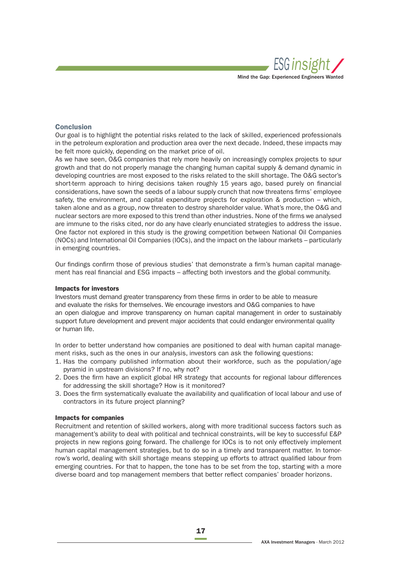

### **Conclusion**

Our goal is to highlight the potential risks related to the lack of skilled, experienced professionals in the petroleum exploration and production area over the next decade. Indeed, these impacts may be felt more quickly, depending on the market price of oil.

As we have seen, O&G companies that rely more heavily on increasingly complex projects to spur growth and that do not properly manage the changing human capital supply & demand dynamic in developing countries are most exposed to the risks related to the skill shortage. The O&G sector's short-term approach to hiring decisions taken roughly 15 years ago, based purely on financial considerations, have sown the seeds of a labour supply crunch that now threatens firms' employee safety, the environment, and capital expenditure projects for exploration & production – which, taken alone and as a group, now threaten to destroy shareholder value. What's more, the O&G and nuclear sectors are more exposed to this trend than other industries. None of the firms we analysed are immune to the risks cited, nor do any have clearly enunciated strategies to address the issue. One factor not explored in this study is the growing competition between National Oil Companies (NOCs) and International Oil Companies (IOCs), and the impact on the labour markets – particularly in emerging countries.

Our findings confirm those of previous studies' that demonstrate a firm's human capital management has real financial and ESG impacts – affecting both investors and the global community.

#### **Impacts for investors**

Investors must demand greater transparency from these firms in order to be able to measure and evaluate the risks for themselves. We encourage investors and O&G companies to have an open dialogue and improve transparency on human capital management in order to sustainably support future development and prevent major accidents that could endanger environmental quality or human life.

In order to better understand how companies are positioned to deal with human capital management risks, such as the ones in our analysis, investors can ask the following questions:

- 1. Has the company published information about their workforce, such as the population/age pyramid in upstream divisions? If no, why not?
- 2. Does the firm have an explicit global HR strategy that accounts for regional labour differences for addressing the skill shortage? How is it monitored?
- 3. Does the firm systematically evaluate the availability and qualification of local labour and use of contractors in its future project planning?

## **Impacts for companies**

Recruitment and retention of skilled workers, along with more traditional success factors such as management's ability to deal with political and technical constraints, will be key to successful E&P projects in new regions going forward. The challenge for IOCs is to not only effectively implement human capital management strategies, but to do so in a timely and transparent matter. In tomorrow's world, dealing with skill shortage means stepping up efforts to attract qualified labour from emerging countries. For that to happen, the tone has to be set from the top, starting with a more diverse board and top management members that better reflect companies' broader horizons.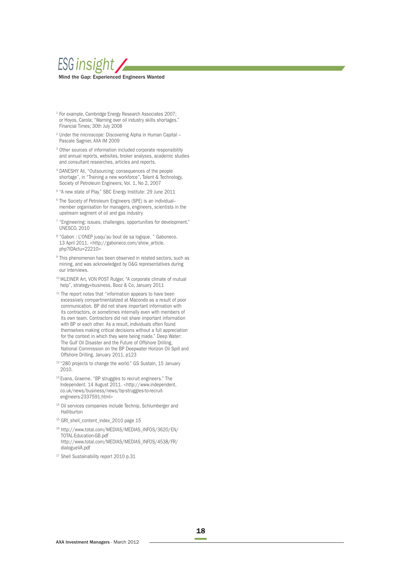

- Financial Times; 30th July 2008 1 For example, Cambridge Energy Research Associates 2007; or Hoyos, Carola; "Warning over oil industry skills shortages."
- <sup>2</sup> Under the microscope: Discovering Alpha in Human Capital -Pascale Sagnier, AXA IM 2009
- <sup>3</sup> Other sources of information included corporate responsibility and annual reports, websites, broker analyses, academic studies and consultant researches, articles and reports.
- 4 DANESHY Ali, "Outsourcing: consequences of the people shortage", in "Training a new workforce", Talent & Technology, Society of Petroleum Engineers, Vol. 1, No 2, 2007
- 5 "A new state of Play." SBC Energy Institute: 29 June 2011
- <sup>6</sup> The Society of Petroleum Engineers (SPE) is an individualmember organisation for managers, engineers, scientists in the upstream segment of oil and gas industry
- 7 "Engineering: issues, challenges, opportunities for development." UNESCO, 2010
- 8 "Gabon : L'ONEP jusqu'au bout de sa logique. " Gaboneco. 13 April 2011. <http://gaboneco.com/show\_article. php?IDActu=22210>
- <sup>9</sup> This phenomenon has been observed in related sectors, such as mining, and was acknowledged by O&G representatives during our interviews.
- 10 IKLEINER Art, VON POST Rutger, "A corporate climate of mutual help", strategy+business, Booz & Co, January 2011
- <sup>11</sup> The report notes that "information appears to have been excessively compartmentalized at Macondo as a result of poor communication. BP did not share important information with its contractors, or sometimes internally even with members of its own team. Contractors did not share important information with BP or each other. As a result, individuals often found themselves making critical decisions without a full appreciation for the context in which they were being made." Deep Water: The Gulf Oil Disaster and the Future of Offshore Drilling, National Commission on the BP Deepwater Horizon Oil Spill and Offshore Drilling, January 2011, p123
- <sup>12</sup> "280 projects to change the world." GS Sustain, 15 January 2010.
- 13 Evans, Graeme. "BP struggles to recruit engineers." The Independent. 14 August 2011. <http://www.independent. co.uk/news/business/news/bp-struggles-to-recruitengineers-2337591.html>
- <sup>14</sup> Oil services companies include Technip, Schlumberger and Halliburton
- 15 GRI\_shell\_content\_index\_2010 page 15
- 16 http://www.total.com/MEDIAS/MEDIAS\_INFOS/3620/EN/ TOTAL-Education-GB.pdf http://www.total.com/MEDIAS/MEDIAS\_INFOS/4538/FR/ dialogueVA.pdf
- 17 Shell Sustainability report 2010 p.31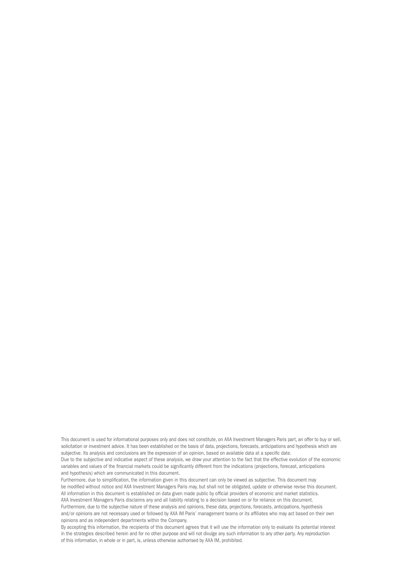This document is used for informational purposes only and does not constitute, on AXA Investment Managers Paris part, an offer to buy or sell, solicitation or investment advice. It has been established on the basis of data, projections, forecasts, anticipations and hypothesis which are subjective. Its analysis and conclusions are the expression of an opinion, based on available data at a specific date.

Due to the subjective and indicative aspect of these analysis, we draw your attention to the fact that the effective evolution of the economic variables and values of the financial markets could be significantly different from the indications (projections, forecast, anticipations and hypothesis) which are communicated in this document.

Furthermore, due to simplification, the information given in this document can only be viewed as subjective. This document may be modified without notice and AXA Investment Managers Paris may, but shall not be obligated, update or otherwise revise this document. All information in this document is established on data given made public by official providers of economic and market statistics.

AXA Investment Managers Paris disclaims any and all liability relating to a decision based on or for reliance on this document. Furthermore, due to the subjective nature of these analysis and opinions, these data, projections, forecasts, anticipations, hypothesis

and/or opinions are not necessary used or followed by AXA IM Paris' management teams or its affiliates who may act based on their own opinions and as independent departments within the Company.

By accepting this information, the recipients of this document agrees that it will use the information only to evaluate its potential interest in the strategies described herein and for no other purpose and will not divulge any such information to any other party. Any reproduction of this information, in whole or in part, is, unless otherwise authorised by AXA IM, prohibited.